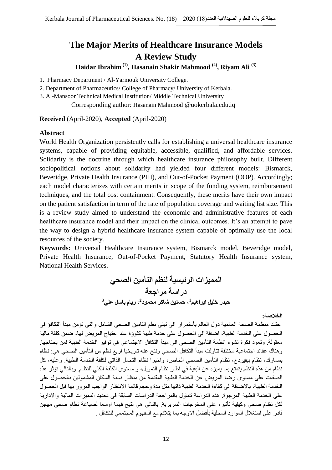# **The Major Merits of Healthcare Insurance Models A Review Study**

**Haidar Ibrahim (1), Hasanain Shakir Mahmood (2), Riyam Ali (3)**

1. Pharmacy Department / Al-Yarmouk University College.

2. Department of Pharmaceutics/ College of Pharmacy/ University of Kerbala.

3. Al-Mansoor Technical Medical Institution/ Middle Technical University

Corresponding author: Hasanain Mahmood @uokerbala.edu.iq

**Received** (April-2020), **Accepted** (April-2020)

### **Abstract**

World Health Organization persistently calls for establishing a universal healthcare insurance systems, capable of providing equitable, accessible, qualified, and affordable services. Solidarity is the doctrine through which healthcare insurance philosophy built. Different sociopolitical notions about solidarity had yielded four different models: Bismarck, Beveridge, Private Health Insurance (PHI), and Out-of-Pocket Payment (OOP). Accordingly; each model characterizes with certain merits in scope of the funding system, reimbursement techniques, and the total cost containment. Consequently, these merits have their own impact on the patient satisfaction in term of the rate of population coverage and waiting list size. This is a review study aimed to understand the economic and administrative features of each healthcare insurance model and their impact on the clinical outcomes. It's an attempt to pave the way to design a hybrid healthcare insurance system capable of optimally use the local resources of the society.

**Keywords:** Universal Healthcare Insurance system, Bismarck model, Beveridge model, Private Health Insurance, Out-of-Pocket Payment, Statutory Health Insurance system, National Health Services.

> **الوويزات الرئيسية لنظن التأهين الصحي دراسة هراجعة** حيدر خليل ابراهيم<sup>1</sup>، حسنين شاكر محمود<sup>2</sup>، ريام باسل عل*ي*<sup>3</sup>

> > **الخالصة:**

حثت منظمة الصحة العالمية دول العالم بأستمرار الى تبني نظم التامين الصحي الشامل والتي تؤمن مبدأ التكافؤ في الحصول على الخدمة الطبية، اضافة الى الحصول على خدمة طبية كفووْة عند احتياج المريض لها، ضمن كلفة مالية معقولة. ونعود فكرة نشوء انظمة النأمين الصحي الى مبدأ النكافل الاجتماعي في نوفير الخدمة الطبية لمن يحتاجها. و هناك عقائد اجتماعية مختلفة تناولت مبدأ التكافل الصحي ونتج عنه تاريخيا اربع نظم من التأمين الصحي هي: نظام بسمارك، نظام بيفيردج، نظام التأمين الصحي الخاص، واخيرا نظام النحمل الذاتي لكلفة الخدمة الطبية. وعليه، كل نظام من هذه النظم يتمتع بما يميزِ م عن البقية في اطار نظام التمويل، و مستوى الكلفة الكلي للنظام. وبالتالي تؤثر هذه الصفات على مستوى رضا المريض عن الخدمة الطبية المقدمة من منظار نسبة السكان المشمولين بالحصول على الخدمة الطبية، بالاضافة الى كفاءة الخدمة الطبية ذاتها مثل مدة وحجم قائمة الانتظار الواجب المرور بها قبل الحصول على الخدمة الطبية المرجوع. هذه الدراسة تتناول بالمراجعة الدراسات السابقة في تحديد المميزات المالية والادارية لكل نظام صحي وكيفية تأثيرِه على المخرجات السريرية. بالتالي هي تتيح فهما اوسعا لصياغة نظام صحي مهجن قادر على استغلال الموارد المحلية بأفضل الأوجه بما يتلائم مع المفهوم المجتمعي للتكافل .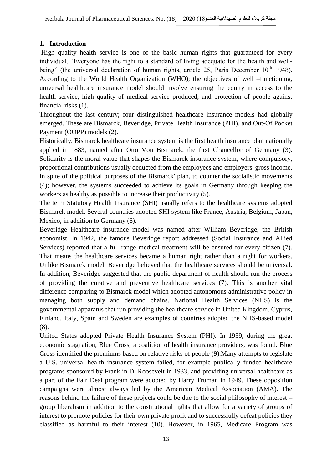# **1. Introduction**

High quality health service is one of the basic human rights that guaranteed for every individual. "Everyone has the right to a standard of living adequate for the health and wellbeing" (the universal declaration of human rights, article 25, Paris December  $10<sup>th</sup>$  1948). According to the World Health Organization (WHO); the objectives of well –functioning, universal healthcare insurance model should involve ensuring the equity in access to the health service, high quality of medical service produced, and protection of people against financial risks (1).

Throughout the last century; four distinguished healthcare insurance models had globally emerged. These are Bismarck, Beveridge, Private Health Insurance (PHI), and Out-Of Pocket Payment (OOPP) models (2).

Historically, Bismarck healthcare insurance system is the first health insurance plan nationally applied in 1883, named after Otto Von Bismarck, the first Chancellor of Germany (3). Solidarity is the moral value that shapes the Bismarck insurance system, where compulsory, proportional contributions usually deducted from the employees and employers' gross income. In spite of the political purposes of the Bismarck' plan, to counter the socialistic movements (4); however, the systems succeeded to achieve its goals in Germany through keeping the workers as healthy as possible to increase their productivity (5).

The term Statutory Health Insurance (SHI) usually refers to the healthcare systems adopted Bismarck model. Several countries adopted SHI system like France, Austria, Belgium, Japan, Mexico, in addition to Germany (6).

Beveridge Healthcare insurance model was named after William Beveridge, the British economist. In 1942, the famous Beveridge report addressed (Social Insurance and Allied Services) reported that a full-range medical treatment will be ensured for every citizen (7). That means the healthcare services became a human right rather than a right for workers. Unlike Bismarck model, Beveridge believed that the healthcare services should be universal. In addition, Beveridge suggested that the public department of health should run the process of providing the curative and preventive healthcare services (7). This is another vital difference comparing to Bismarck model which adopted autonomous administrative policy in managing both supply and demand chains. National Health Services (NHS) is the governmental apparatus that run providing the healthcare service in United Kingdom. Cyprus, Finland, Italy, Spain and Sweden are examples of countries adopted the NHS-based model (8).

United States adopted Private Health Insurance System (PHI). In 1939, during the great economic stagnation, Blue Cross, a coalition of health insurance providers, was found. Blue Cross identified the premiums based on relative risks of people (9).Many attempts to legislate a U.S. universal health insurance system failed, for example publically funded healthcare programs sponsored by Franklin D. Roosevelt in 1933, and providing universal healthcare as a part of the Fair Deal program were adopted by Harry Truman in 1949. These opposition campaigns were almost always led by the American Medical Association (AMA). The reasons behind the failure of these projects could be due to the social philosophy of interest – group liberalism in addition to the constitutional rights that allow for a variety of groups of interest to promote policies for their own private profit and to successfully defeat policies they classified as harmful to their interest (10). However, in 1965, Medicare Program was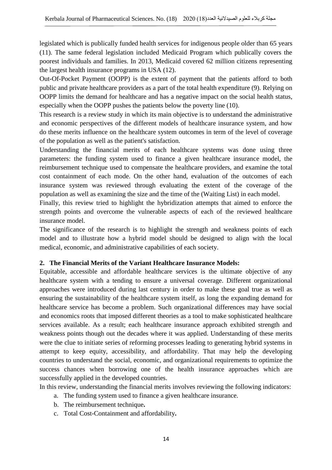legislated which is publically funded health services for indigenous people older than 65 years (11). The same federal legislation included Medicaid Program which publically covers the poorest individuals and families. In 2013, Medicaid covered 62 million citizens representing the largest health insurance programs in USA (12).

Out-Of-Pocket Payment (OOPP) is the extent of payment that the patients afford to both public and private healthcare providers as a part of the total health expenditure (9). Relying on OOPP limits the demand for healthcare and has a negative impact on the social health status, especially when the OOPP pushes the patients below the poverty line (10).

This research is a review study in which its main objective is to understand the administrative and economic perspectives of the different models of healthcare insurance system, and how do these merits influence on the healthcare system outcomes in term of the level of coverage of the population as well as the patient's satisfaction.

Understanding the financial merits of each healthcare systems was done using three parameters: the funding system used to finance a given healthcare insurance model, the reimbursement technique used to compensate the healthcare providers, and examine the total cost containment of each mode. On the other hand, evaluation of the outcomes of each insurance system was reviewed through evaluating the extent of the coverage of the population as well as examining the size and the time of the (Waiting List) in each model.

Finally, this review tried to highlight the hybridization attempts that aimed to enforce the strength points and overcome the vulnerable aspects of each of the reviewed healthcare insurance model.

The significance of the research is to highlight the strength and weakness points of each model and to illustrate how a hybrid model should be designed to align with the local medical, economic, and administrative capabilities of each society.

### **2. The Financial Merits of the Variant Healthcare Insurance Models:**

Equitable, accessible and affordable healthcare services is the ultimate objective of any healthcare system with a tending to ensure a universal coverage. Different organizational approaches were introduced during last century in order to make these goal true as well as ensuring the sustainability of the healthcare system itself, as long the expanding demand for healthcare service has become a problem. Such organizational differences may have social and economics roots that imposed different theories as a tool to make sophisticated healthcare services available. As a result; each healthcare insurance approach exhibited strength and weakness points though out the decades where it was applied. Understanding of these merits were the clue to initiate series of reforming processes leading to generating hybrid systems in attempt to keep equity, accessibility, and affordability. That may help the developing countries to understand the social, economic, and organizational requirements to optimize the success chances when borrowing one of the health insurance approaches which are successfully applied in the developed countries.

In this review, understanding the financial merits involves reviewing the following indicators:

- a. The funding system used to finance a given healthcare insurance.
- b. The reimbursement technique**.**
- c. Total Cost-Containment and affordability**.**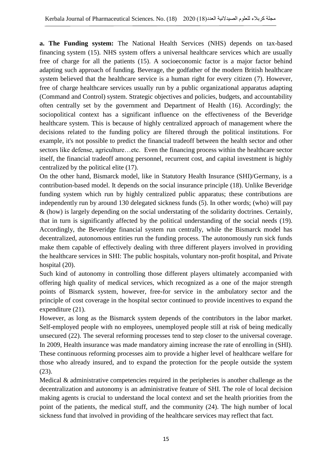**a. The Funding system:** The National Health Services (NHS) depends on tax-based financing system (15). NHS system offers a universal healthcare services which are usually free of charge for all the patients (15). A socioeconomic factor is a major factor behind adapting such approach of funding. Beverage, the godfather of the modern British healthcare system believed that the healthcare service is a human right for every citizen (7). However, free of charge healthcare services usually run by a public organizational apparatus adapting (Command and Control) system. Strategic objectives and policies, budgets, and accountability often centrally set by the government and Department of Health (16). Accordingly; the sociopolitical context has a significant influence on the effectiveness of the Beveridge healthcare system. This is because of highly centralized approach of management where the decisions related to the funding policy are filtered through the political institutions. For example, it's not possible to predict the financial tradeoff between the health sector and other sectors like defense, agriculture…etc. Even the financing process within the healthcare sector itself, the financial tradeoff among personnel, recurrent cost, and capital investment is highly centralized by the political elite (17).

On the other hand, Bismarck model, like in Statutory Health Insurance (SHI)/Germany, is a contribution-based model. It depends on the social insurance principle (18). Unlike Beveridge funding system which run by highly centralized public apparatus; these contributions are independently run by around 130 delegated sickness funds (5). In other words; (who) will pay & (how) is largely depending on the social understating of the solidarity doctrines. Certainly, that in turn is significantly affected by the political understanding of the social needs (19). Accordingly, the Beveridge financial system run centrally, while the Bismarck model has decentralized, autonomous entities run the funding process. The autonomously run sick funds make them capable of effectively dealing with three different players involved in providing the healthcare services in SHI: The public hospitals, voluntary non-profit hospital, and Private hospital (20).

Such kind of autonomy in controlling those different players ultimately accompanied with offering high quality of medical services, which recognized as a one of the major strength points of Bismarck system, however, free-for service in the ambulatory sector and the principle of cost coverage in the hospital sector continued to provide incentives to expand the expenditure (21).

However, as long as the Bismarck system depends of the contributors in the labor market. Self-employed people with no employees, unemployed people still at risk of being medically unsecured (22). The several reforming processes tend to step closer to the universal coverage. In 2009, Health insurance was made mandatory aiming increase the rate of enrolling in (SHI). These continuous reforming processes aim to provide a higher level of healthcare welfare for those who already insured, and to expand the protection for the people outside the system (23).

Medical & administrative competencies required in the peripheries is another challenge as the decentralization and autonomy is an administrative feature of SHI. The role of local decision making agents is crucial to understand the local context and set the health priorities from the point of the patients, the medical stuff, and the community (24). The high number of local sickness fund that involved in providing of the healthcare services may reflect that fact.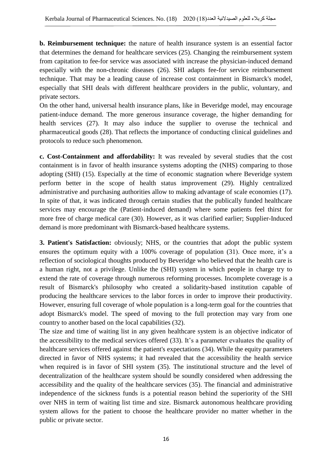**b. Reimbursement technique:** the nature of health insurance system is an essential factor that determines the demand for healthcare services (25). Changing the reimbursement system from capitation to fee-for service was associated with increase the physician-induced demand especially with the non-chronic diseases (26). SHI adapts fee-for service reimbursement technique. That may be a leading cause of increase cost containment in Bismarck's model, especially that SHI deals with different healthcare providers in the public, voluntary, and private sectors.

On the other hand, universal health insurance plans, like in Beveridge model, may encourage patient-induce demand. The more generous insurance coverage, the higher demanding for health services (27). It may also induce the supplier to overuse the technical and pharmaceutical goods (28). That reflects the importance of conducting clinical guidelines and protocols to reduce such phenomenon.

**c. Cost-Containment and affordability:** It was revealed by several studies that the cost containment is in favor of health insurance systems adopting the (NHS) comparing to those adopting (SHI) (15). Especially at the time of economic stagnation where Beveridge system perform better in the scope of health status improvement (29). Highly centralized administrative and purchasing authorities allow to making advantage of scale economies (17). In spite of that, it was indicated through certain studies that the publically funded healthcare services may encourage the (Patient-induced demand) where some patients feel thirst for more free of charge medical care (30). However, as it was clarified earlier; Supplier-Induced demand is more predominant with Bismarck-based healthcare systems.

**3. Patient's Satisfaction:** obviously; NHS, or the countries that adopt the public system ensures the optimum equity with a 100% coverage of population (31). Once more, it's a reflection of sociological thoughts produced by Beveridge who believed that the health care is a human right, not a privilege. Unlike the (SHI) system in which people in charge try to extend the rate of coverage through numerous reforming processes. Incomplete coverage is a result of Bismarck's philosophy who created a solidarity-based institution capable of producing the healthcare services to the labor forces in order to improve their productivity. However, ensuring full coverage of whole population is a long-term goal for the countries that adopt Bismarck's model. The speed of moving to the full protection may vary from one country to another based on the local capabilities (32).

The size and time of waiting list in any given healthcare system is an objective indicator of the accessibility to the medical services offered (33). It's a parameter evaluates the quality of healthcare services offered against the patient's expectations (34). While the equity parameters directed in favor of NHS systems; it had revealed that the accessibility the health service when required is in favor of SHI system (35). The institutional structure and the level of decentralization of the healthcare system should be soundly considered when addressing the accessibility and the quality of the healthcare services (35). The financial and administrative independence of the sickness funds is a potential reason behind the superiority of the SHI over NHS in term of waiting list time and size. Bismarck autonomous healthcare providing system allows for the patient to choose the healthcare provider no matter whether in the public or private sector.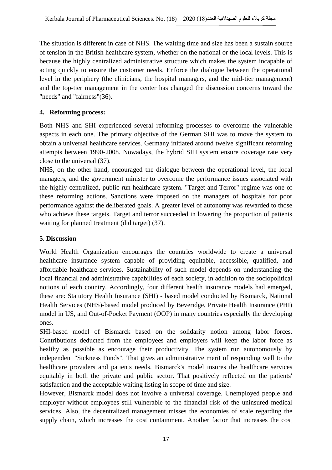The situation is different in case of NHS. The waiting time and size has been a sustain source of tension in the British healthcare system, whether on the national or the local levels. This is because the highly centralized administrative structure which makes the system incapable of acting quickly to ensure the customer needs. Enforce the dialogue between the operational level in the periphery (the clinicians, the hospital managers, and the mid-tier management) and the top-tier management in the center has changed the discussion concerns toward the "needs" and "fairness"(36).

# **4. Reforming process:**

Both NHS and SHI experienced several reforming processes to overcome the vulnerable aspects in each one. The primary objective of the German SHI was to move the system to obtain a universal healthcare services. Germany initiated around twelve significant reforming attempts between 1990-2008. Nowadays, the hybrid SHI system ensure coverage rate very close to the universal (37).

NHS, on the other hand, encouraged the dialogue between the operational level, the local managers, and the government minister to overcome the performance issues associated with the highly centralized, public-run healthcare system. "Target and Terror" regime was one of these reforming actions. Sanctions were imposed on the managers of hospitals for poor performance against the deliberated goals. A greater level of autonomy was rewarded to those who achieve these targets. Target and terror succeeded in lowering the proportion of patients waiting for planned treatment (did target) (37).

## **5. Discussion**

World Health Organization encourages the countries worldwide to create a universal healthcare insurance system capable of providing equitable, accessible, qualified, and affordable healthcare services. Sustainability of such model depends on understanding the local financial and administrative capabilities of each society, in addition to the sociopolitical notions of each country. Accordingly, four different health insurance models had emerged, these are: Statutory Health Insurance (SHI) - based model conducted by Bismarck, National Health Services (NHS)-based model produced by Beveridge, Private Health Insurance (PHI) model in US, and Out-of-Pocket Payment (OOP) in many countries especially the developing ones.

SHI-based model of Bismarck based on the solidarity notion among labor forces. Contributions deducted from the employees and employers will keep the labor force as healthy as possible as encourage their productivity. The system run autonomously by independent "Sickness Funds". That gives an administrative merit of responding well to the healthcare providers and patients needs. Bismarck's model insures the healthcare services equitably in both the private and public sector. That positively reflected on the patients' satisfaction and the acceptable waiting listing in scope of time and size.

However, Bismarck model does not involve a universal coverage. Unemployed people and employer without employees still vulnerable to the financial risk of the uninsured medical services. Also, the decentralized management misses the economies of scale regarding the supply chain, which increases the cost containment. Another factor that increases the cost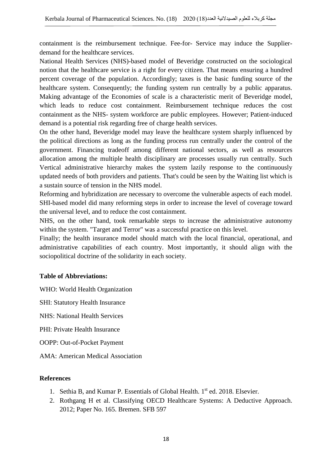containment is the reimbursement technique. Fee-for- Service may induce the Supplierdemand for the healthcare services.

National Health Services (NHS)-based model of Beveridge constructed on the sociological notion that the healthcare service is a right for every citizen. That means ensuring a hundred percent coverage of the population. Accordingly; taxes is the basic funding source of the healthcare system. Consequently; the funding system run centrally by a public apparatus. Making advantage of the Economies of scale is a characteristic merit of Beveridge model, which leads to reduce cost containment. Reimbursement technique reduces the cost containment as the NHS- system workforce are public employees. However; Patient-induced demand is a potential risk regarding free of charge health services.

On the other hand, Beveridge model may leave the healthcare system sharply influenced by the political directions as long as the funding process run centrally under the control of the government. Financing tradeoff among different national sectors, as well as resources allocation among the multiple health disciplinary are processes usually run centrally. Such Vertical administrative hierarchy makes the system lazily response to the continuously updated needs of both providers and patients. That's could be seen by the Waiting list which is a sustain source of tension in the NHS model.

Reforming and hybridization are necessary to overcome the vulnerable aspects of each model. SHI-based model did many reforming steps in order to increase the level of coverage toward the universal level, and to reduce the cost containment.

NHS, on the other hand, took remarkable steps to increase the administrative autonomy within the system. "Target and Terror" was a successful practice on this level.

Finally; the health insurance model should match with the local financial, operational, and administrative capabilities of each country. Most importantly, it should align with the sociopolitical doctrine of the solidarity in each society.

## **Table of Abbreviations:**

WHO: World Health Organization

SHI: Statutory Health Insurance

NHS: National Health Services

PHI: Private Health Insurance

OOPP: Out-of-Pocket Payment

AMA: American Medical Association

### **References**

- 1. Sethia B, and Kumar P. Essentials of Global Health.  $1<sup>st</sup>$  ed. 2018. Elsevier.
- 2. Rothgang H et al. Classifying OECD Healthcare Systems: A Deductive Approach. 2012; Paper No. 165. Bremen. SFB 597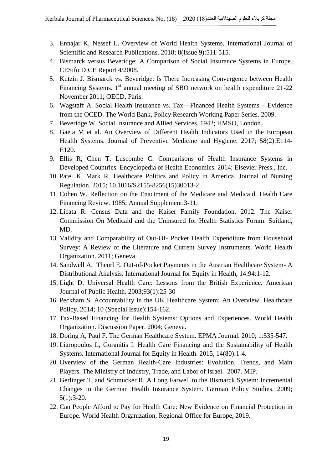- 3. Ennajar K, Nessef L. Overview of World Health Systems. International Journal of Scientific and Research Publications. 2018; 8(Issue 9):511-515.
- 4. Bismarck versus Beveridge: A Comparison of Social Insurance Systems in Europe. CESifo DICE Report 4/2008.
- 5. Kutzin J. Bismarck vs. Beveridge: Is There Increasing Convergence between Health Financing Systems.  $1<sup>st</sup>$  annual meeting of SBO network on health expenditure 21-22 November 2011; OECD, Paris.
- 6. Wagstaff A. Social Health Insurance vs. Tax—Financed Health Systems Evidence from the OCED. The World Bank, Policy Research Working Paper Series. 2009.
- 7. Beveridge W. Social Insurance and Allied Services. 1942; HMSO, London.
- 8. Gaeta M et al. An Overview of Different Health Indicators Used in the European Health Systems. Journal of Preventive Medicine and Hygiene. 2017; 58(2):E114- E120.
- 9. Ellis R, Chen T, Luscombe C. Comparisons of Health Insurance Systems in Developed Countries. Encyclopedia of Health Economics. 2014; Elsevier Press., Inc.
- 10. Patel K, Mark R. Healthcare Politics and Policy in America. Journal of Nursing Regulation. 2015; 10.1016/S2155-8256(15)30013-2.
- 11. Cohen W. Reflection on the Enactment of the Medicare and Medicaid. Health Care Financing Review. 1985; Annual Supplement:3-11.
- 12. Licata R. Census Data and the Kaiser Family Foundation. 2012. The Kaiser Commission On Medicaid and the Uninsured for Health Statistics Forum. Suitland, MD.
- 13. Validity and Comparability of Out-Of- Pocket Health Expenditure from Household Survey: A Review of the Literature and Current Survey Instruments. World Health Organization. 2011; Geneva.
- 14. Sandwell A, Theurl E. Out-of-Pocket Payments in the Austrian Healthcare System- A Distributional Analysis. International Journal for Equity in Health, 14:94:1-12.
- 15. Light D. Universal Health Care: Lessons from the British Experience. American Journal of Public Health. 2003;93(1):25-30
- 16. Peckham S. Accountability in the UK Healthcare System: An Overview. Healthcare Policy. 2014; 10 (Special Issue):154-162.
- 17. Tax-Based Financing for Health Systems: Options and Experiences. World Health Organization. Discussion Paper. 2004; Geneva.
- 18. Doring A, Paul F. The German Healthcare System. EPMA Journal. 2010; 1:535-547.
- 19. Liaropoulos L, Goranitis I. Health Care Financing and the Sustainability of Health Systems. International Journal for Equity in Health. 2015, 14(80):1-4.
- 20. Overview of the German Health-Care Industries: Evolution, Trends, and Main Players. The Ministry of Industry, Trade, and Labor of Israel. 2007. MIP.
- 21. Gerlinger T, and Schmucker R. A Long Farwell to the Bismarck System: Incremental Changes in the German Health Insurance System. German Policy Studies. 2009; 5(1):3-20.
- 22. Can People Afford to Pay for Health Care: New Evidence on Financial Protection in Europe. World Health Organization, Regional Office for Europe, 2019.